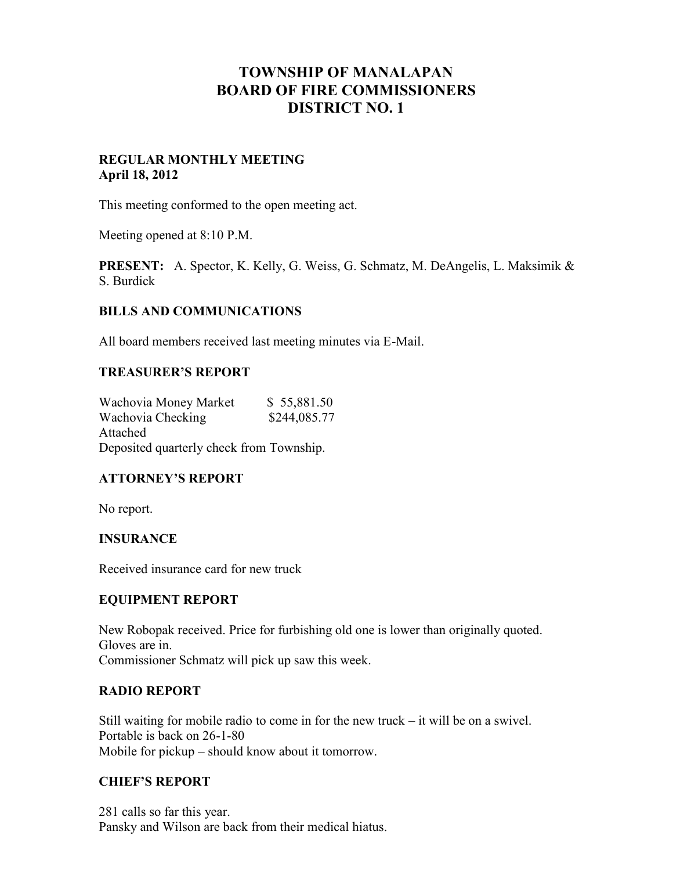# **TOWNSHIP OF MANALAPAN BOARD OF FIRE COMMISSIONERS DISTRICT NO. 1**

## **REGULAR MONTHLY MEETING April 18, 2012**

This meeting conformed to the open meeting act.

Meeting opened at 8:10 P.M.

**PRESENT:** A. Spector, K. Kelly, G. Weiss, G. Schmatz, M. DeAngelis, L. Maksimik & S. Burdick

## **BILLS AND COMMUNICATIONS**

All board members received last meeting minutes via E-Mail.

#### **TREASURER'S REPORT**

Wachovia Money Market \$ 55,881.50 Wachovia Checking \$244,085.77 Attached Deposited quarterly check from Township.

## **ATTORNEY'S REPORT**

No report.

#### **INSURANCE**

Received insurance card for new truck

#### **EQUIPMENT REPORT**

New Robopak received. Price for furbishing old one is lower than originally quoted. Gloves are in.

Commissioner Schmatz will pick up saw this week.

#### **RADIO REPORT**

Still waiting for mobile radio to come in for the new truck – it will be on a swivel. Portable is back on 26-1-80 Mobile for pickup – should know about it tomorrow.

#### **CHIEF'S REPORT**

281 calls so far this year. Pansky and Wilson are back from their medical hiatus.